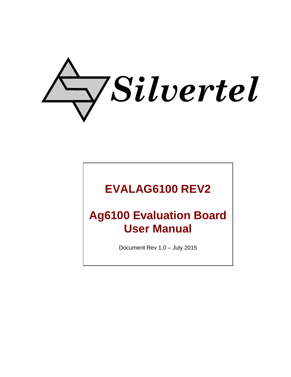

## **EVALAG6100 REV2**

# **Ag6100 Evaluation Board User Manual**

Document Rev 1.0 – July 2015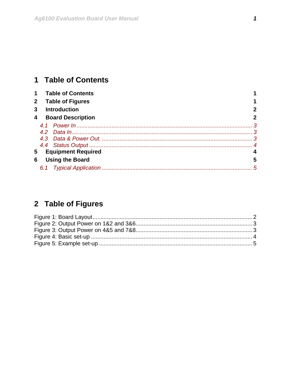## <span id="page-1-0"></span>1 Table of Contents

|                         | <b>Table of Contents</b>  |   |
|-------------------------|---------------------------|---|
| $\mathbf{2}$            | <b>Table of Figures</b>   |   |
| 3                       | <b>Introduction</b>       |   |
| $\overline{\mathbf{4}}$ | <b>Board Description</b>  | 2 |
|                         |                           |   |
|                         |                           |   |
|                         |                           |   |
|                         |                           |   |
| 5                       | <b>Equipment Required</b> |   |
| 6                       | <b>Using the Board</b>    | 5 |
|                         |                           | 5 |

## 2 Table of Figures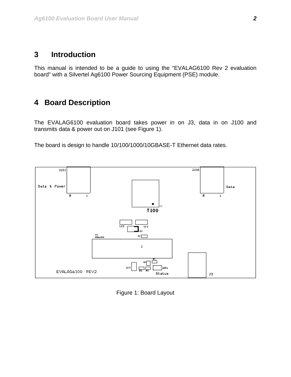## <span id="page-2-0"></span>**3 Introduction**

This manual is intended to be a guide to using the "EVALAG6100 Rev 2 evaluation board" with a Silvertel Ag6100 Power Sourcing Equipment (PSE) module.

### **4 Board Description**

The EVALAG6100 evaluation board takes power in on J3, data in on J100 and transmits data & power out on J101 (see [Figure 1\)](#page-2-1).

The board is design to handle 10/100/1000/10GBASE-T Ethernet data rates.



<span id="page-2-1"></span>Figure 1: Board Layout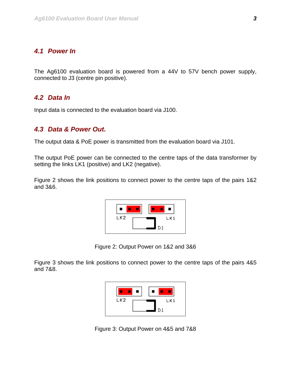#### <span id="page-3-0"></span>*4.1 Power In*

The Ag6100 evaluation board is powered from a 44V to 57V bench power supply, connected to J3 (centre pin positive).

#### *4.2 Data In*

Input data is connected to the evaluation board via J100.

#### *4.3 Data & Power Out.*

The output data & PoE power is transmitted from the evaluation board via J101.

The output PoE power can be connected to the centre taps of the data transformer by setting the links LK1 (positive) and LK2 (negative).

Figure 2 shows the link positions to connect power to the centre taps of the pairs 1&2 and 3&6.



Figure 2: Output Power on 1&2 and 3&6

Figure 3 shows the link positions to connect power to the centre taps of the pairs 4&5 and 7&8.



Figure 3: Output Power on 4&5 and 7&8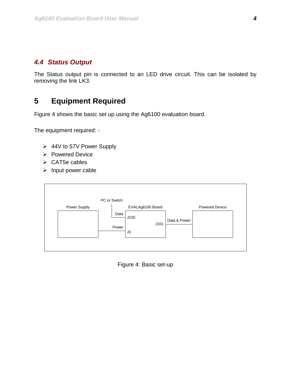#### <span id="page-4-0"></span>*4.4 Status Output*

The Status output pin is connected to an LED drive circuit. This can be isolated by removing the link LK3.

## **5 Equipment Required**

Figure 4 shows the basic set up using the Ag6100 evaluation board.

The equipment required: -

- ¾ 44V to 57V Power Supply
- ¾ Powered Device
- $\triangleright$  CAT5e cables
- $\triangleright$  Input power cable



Figure 4: Basic set-up